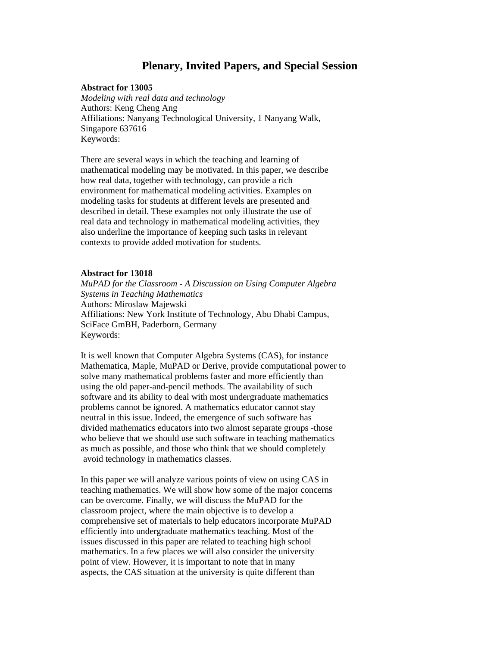# **Plenary, Invited Papers, and Special Session**

#### **Abstract for 13005**

 *Modeling with real data and technology*  Authors: Keng Cheng Ang Affiliations: Nanyang Technological University, 1 Nanyang Walk, Singapore 637616 Keywords:

 There are several ways in which the teaching and learning of mathematical modeling may be motivated. In this paper, we describe how real data, together with technology, can provide a rich environment for mathematical modeling activities. Examples on modeling tasks for students at different levels are presented and described in detail. These examples not only illustrate the use of real data and technology in mathematical modeling activities, they also underline the importance of keeping such tasks in relevant contexts to provide added motivation for students.

#### **Abstract for 13018**

 *MuPAD for the Classroom - A Discussion on Using Computer Algebra Systems in Teaching Mathematics*  Authors: Miroslaw Majewski Affiliations: New York Institute of Technology, Abu Dhabi Campus, SciFace GmBH, Paderborn, Germany Keywords:

 It is well known that Computer Algebra Systems (CAS), for instance Mathematica, Maple, MuPAD or Derive, provide computational power to solve many mathematical problems faster and more efficiently than using the old paper-and-pencil methods. The availability of such software and its ability to deal with most undergraduate mathematics problems cannot be ignored. A mathematics educator cannot stay neutral in this issue. Indeed, the emergence of such software has divided mathematics educators into two almost separate groups -those who believe that we should use such software in teaching mathematics as much as possible, and those who think that we should completely avoid technology in mathematics classes.

 In this paper we will analyze various points of view on using CAS in teaching mathematics. We will show how some of the major concerns can be overcome. Finally, we will discuss the MuPAD for the classroom project, where the main objective is to develop a comprehensive set of materials to help educators incorporate MuPAD efficiently into undergraduate mathematics teaching. Most of the issues discussed in this paper are related to teaching high school mathematics. In a few places we will also consider the university point of view. However, it is important to note that in many aspects, the CAS situation at the university is quite different than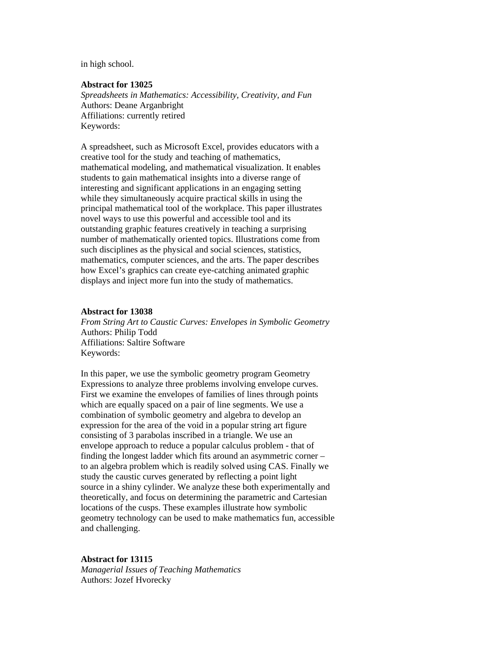in high school.

## **Abstract for 13025**

 *Spreadsheets in Mathematics: Accessibility, Creativity, and Fun*  Authors: Deane Arganbright Affiliations: currently retired Keywords:

 A spreadsheet, such as Microsoft Excel, provides educators with a creative tool for the study and teaching of mathematics, mathematical modeling, and mathematical visualization. It enables students to gain mathematical insights into a diverse range of interesting and significant applications in an engaging setting while they simultaneously acquire practical skills in using the principal mathematical tool of the workplace. This paper illustrates novel ways to use this powerful and accessible tool and its outstanding graphic features creatively in teaching a surprising number of mathematically oriented topics. Illustrations come from such disciplines as the physical and social sciences, statistics, mathematics, computer sciences, and the arts. The paper describes how Excel's graphics can create eye-catching animated graphic displays and inject more fun into the study of mathematics.

#### **Abstract for 13038**

 *From String Art to Caustic Curves: Envelopes in Symbolic Geometry*  Authors: Philip Todd Affiliations: Saltire Software Keywords:

 In this paper, we use the symbolic geometry program Geometry Expressions to analyze three problems involving envelope curves. First we examine the envelopes of families of lines through points which are equally spaced on a pair of line segments. We use a combination of symbolic geometry and algebra to develop an expression for the area of the void in a popular string art figure consisting of 3 parabolas inscribed in a triangle. We use an envelope approach to reduce a popular calculus problem - that of finding the longest ladder which fits around an asymmetric corner – to an algebra problem which is readily solved using CAS. Finally we study the caustic curves generated by reflecting a point light source in a shiny cylinder. We analyze these both experimentally and theoretically, and focus on determining the parametric and Cartesian locations of the cusps. These examples illustrate how symbolic geometry technology can be used to make mathematics fun, accessible and challenging.

#### **Abstract for 13115**

 *Managerial Issues of Teaching Mathematics*  Authors: Jozef Hvorecky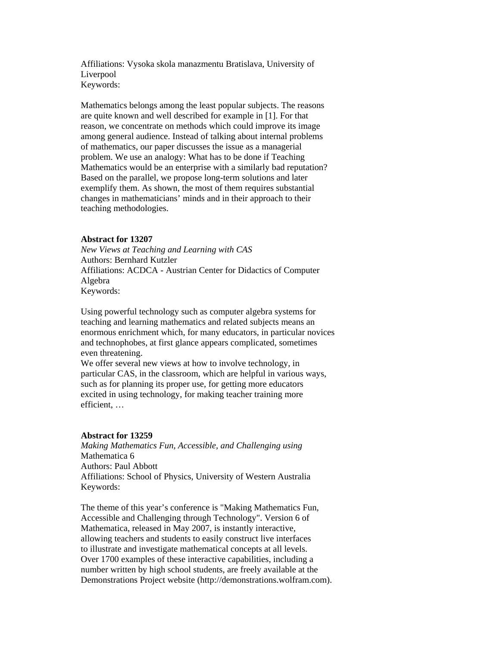Affiliations: Vysoka skola manazmentu Bratislava, University of Liverpool Keywords:

 Mathematics belongs among the least popular subjects. The reasons are quite known and well described for example in [1]. For that reason, we concentrate on methods which could improve its image among general audience. Instead of talking about internal problems of mathematics, our paper discusses the issue as a managerial problem. We use an analogy: What has to be done if Teaching Mathematics would be an enterprise with a similarly bad reputation? Based on the parallel, we propose long-term solutions and later exemplify them. As shown, the most of them requires substantial changes in mathematicians' minds and in their approach to their teaching methodologies.

#### **Abstract for 13207**

 *New Views at Teaching and Learning with CAS*  Authors: Bernhard Kutzler Affiliations: ACDCA - Austrian Center for Didactics of Computer Algebra Keywords:

 Using powerful technology such as computer algebra systems for teaching and learning mathematics and related subjects means an enormous enrichment which, for many educators, in particular novices and technophobes, at first glance appears complicated, sometimes even threatening.

 We offer several new views at how to involve technology, in particular CAS, in the classroom, which are helpful in various ways, such as for planning its proper use, for getting more educators excited in using technology, for making teacher training more efficient, …

# **Abstract for 13259**

 *Making Mathematics Fun, Accessible, and Challenging using*  Mathematica 6 Authors: Paul Abbott Affiliations: School of Physics, University of Western Australia Keywords:

 The theme of this year's conference is "Making Mathematics Fun, Accessible and Challenging through Technology". Version 6 of Mathematica, released in May 2007, is instantly interactive, allowing teachers and students to easily construct live interfaces to illustrate and investigate mathematical concepts at all levels. Over 1700 examples of these interactive capabilities, including a number written by high school students, are freely available at the Demonstrations Project website (http://demonstrations.wolfram.com).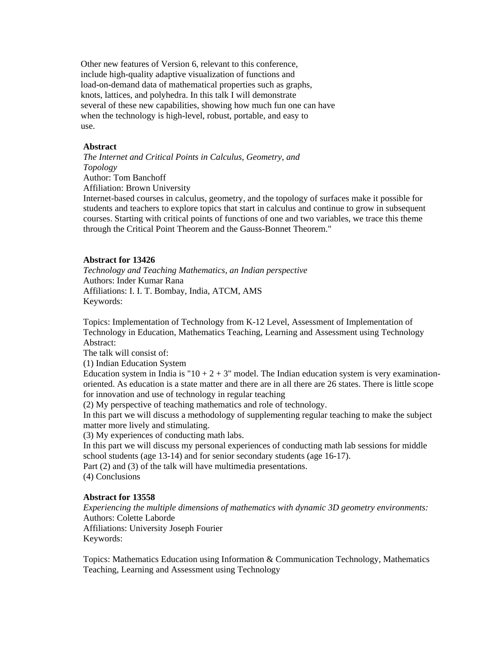Other new features of Version 6, relevant to this conference, include high-quality adaptive visualization of functions and load-on-demand data of mathematical properties such as graphs, knots, lattices, and polyhedra. In this talk I will demonstrate several of these new capabilities, showing how much fun one can have when the technology is high-level, robust, portable, and easy to use.

#### **Abstract**

*The Internet and Critical Points in Calculus, Geometry, and Topology*  Author: Tom Banchoff Affiliation: Brown University

Internet-based courses in calculus, geometry, and the topology of surfaces make it possible for students and teachers to explore topics that start in calculus and continue to grow in subsequent courses. Starting with critical points of functions of one and two variables, we trace this theme through the Critical Point Theorem and the Gauss-Bonnet Theorem."

## **Abstract for 13426**

*Technology and Teaching Mathematics, an Indian perspective*  Authors: Inder Kumar Rana Affiliations: I. I. T. Bombay, India, ATCM, AMS Keywords:

Topics: Implementation of Technology from K-12 Level, Assessment of Implementation of Technology in Education, Mathematics Teaching, Learning and Assessment using Technology Abstract:

The talk will consist of:

(1) Indian Education System

Education system in India is " $10 + 2 + 3$ " model. The Indian education system is very examinationoriented. As education is a state matter and there are in all there are 26 states. There is little scope for innovation and use of technology in regular teaching

(2) My perspective of teaching mathematics and role of technology.

In this part we will discuss a methodology of supplementing regular teaching to make the subject matter more lively and stimulating.

(3) My experiences of conducting math labs.

In this part we will discuss my personal experiences of conducting math lab sessions for middle school students (age 13-14) and for senior secondary students (age 16-17).

Part (2) and (3) of the talk will have multimedia presentations.

(4) Conclusions

#### **Abstract for 13558**

*Experiencing the multiple dimensions of mathematics with dynamic 3D geometry environments:*  Authors: Colette Laborde Affiliations: University Joseph Fourier Keywords:

Topics: Mathematics Education using Information & Communication Technology, Mathematics Teaching, Learning and Assessment using Technology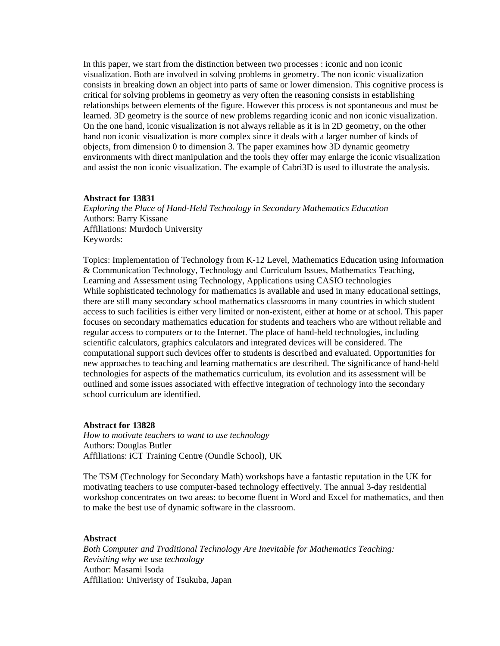In this paper, we start from the distinction between two processes : iconic and non iconic visualization. Both are involved in solving problems in geometry. The non iconic visualization consists in breaking down an object into parts of same or lower dimension. This cognitive process is critical for solving problems in geometry as very often the reasoning consists in establishing relationships between elements of the figure. However this process is not spontaneous and must be learned. 3D geometry is the source of new problems regarding iconic and non iconic visualization. On the one hand, iconic visualization is not always reliable as it is in 2D geometry, on the other hand non iconic visualization is more complex since it deals with a larger number of kinds of objects, from dimension 0 to dimension 3. The paper examines how 3D dynamic geometry environments with direct manipulation and the tools they offer may enlarge the iconic visualization and assist the non iconic visualization. The example of Cabri3D is used to illustrate the analysis.

#### **Abstract for 13831**

*Exploring the Place of Hand-Held Technology in Secondary Mathematics Education*  Authors: Barry Kissane Affiliations: Murdoch University Keywords:

Topics: Implementation of Technology from K-12 Level, Mathematics Education using Information & Communication Technology, Technology and Curriculum Issues, Mathematics Teaching, Learning and Assessment using Technology, Applications using CASIO technologies While sophisticated technology for mathematics is available and used in many educational settings, there are still many secondary school mathematics classrooms in many countries in which student access to such facilities is either very limited or non-existent, either at home or at school. This paper focuses on secondary mathematics education for students and teachers who are without reliable and regular access to computers or to the Internet. The place of hand-held technologies, including scientific calculators, graphics calculators and integrated devices will be considered. The computational support such devices offer to students is described and evaluated. Opportunities for new approaches to teaching and learning mathematics are described. The significance of hand-held technologies for aspects of the mathematics curriculum, its evolution and its assessment will be outlined and some issues associated with effective integration of technology into the secondary school curriculum are identified.

#### **Abstract for 13828**

*How to motivate teachers to want to use technology*  Authors: Douglas Butler Affiliations: iCT Training Centre (Oundle School), UK

The TSM (Technology for Secondary Math) workshops have a fantastic reputation in the UK for motivating teachers to use computer-based technology effectively. The annual 3-day residential workshop concentrates on two areas: to become fluent in Word and Excel for mathematics, and then to make the best use of dynamic software in the classroom.

## **Abstract**

*Both Computer and Traditional Technology Are Inevitable for Mathematics Teaching: Revisiting why we use technology* Author: Masami Isoda Affiliation: Univeristy of Tsukuba, Japan